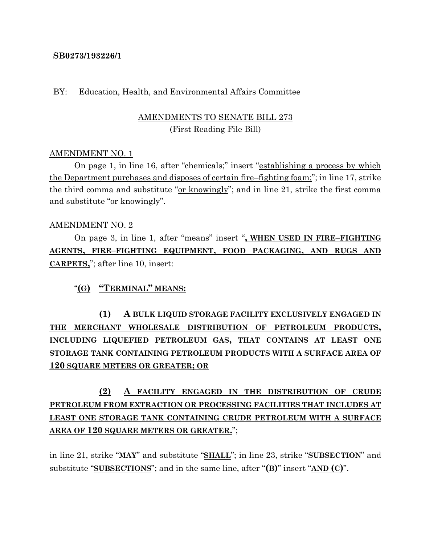#### **SB0273/193226/1**

#### BY: Education, Health, and Environmental Affairs Committee

## AMENDMENTS TO SENATE BILL 273 (First Reading File Bill)

#### AMENDMENT NO. 1

On page 1, in line 16, after "chemicals;" insert "establishing a process by which the Department purchases and disposes of certain fire–fighting foam;"; in line 17, strike the third comma and substitute "or knowingly"; and in line 21, strike the first comma and substitute "or knowingly".

#### AMENDMENT NO. 2

On page 3, in line 1, after "means" insert "**, WHEN USED IN FIRE–FIGHTING AGENTS, FIRE–FIGHTING EQUIPMENT, FOOD PACKAGING, AND RUGS AND CARPETS,**"; after line 10, insert:

### "**(G) "TERMINAL" MEANS:**

## **(1) A BULK LIQUID STORAGE FACILITY EXCLUSIVELY ENGAGED IN THE MERCHANT WHOLESALE DISTRIBUTION OF PETROLEUM PRODUCTS, INCLUDING LIQUEFIED PETROLEUM GAS, THAT CONTAINS AT LEAST ONE STORAGE TANK CONTAINING PETROLEUM PRODUCTS WITH A SURFACE AREA OF 120 SQUARE METERS OR GREATER; OR**

## **(2) A FACILITY ENGAGED IN THE DISTRIBUTION OF CRUDE PETROLEUM FROM EXTRACTION OR PROCESSING FACILITIES THAT INCLUDES AT LEAST ONE STORAGE TANK CONTAINING CRUDE PETROLEUM WITH A SURFACE AREA OF 120 SQUARE METERS OR GREATER.**";

in line 21, strike "**MAY**" and substitute "**SHALL**"; in line 23, strike "**SUBSECTION**" and substitute "**SUBSECTIONS**"; and in the same line, after "**(B)**" insert "**AND (C)**".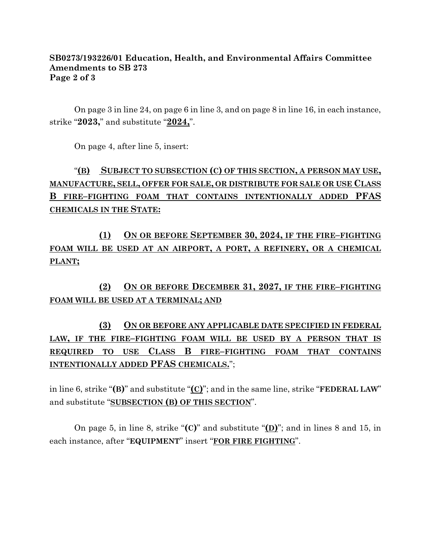### **SB0273/193226/01 Education, Health, and Environmental Affairs Committee Amendments to SB 273 Page 2 of 3**

On page 3 in line 24, on page 6 in line 3, and on page 8 in line 16, in each instance, strike "**2023,**" and substitute "**2024,**".

On page 4, after line 5, insert:

# "**(B) SUBJECT TO SUBSECTION (C) OF THIS SECTION, A PERSON MAY USE, MANUFACTURE, SELL, OFFER FOR SALE, OR DISTRIBUTE FOR SALE OR USE CLASS B FIRE–FIGHTING FOAM THAT CONTAINS INTENTIONALLY ADDED PFAS CHEMICALS IN THE STATE:**

**(1) ON OR BEFORE SEPTEMBER 30, 2024, IF THE FIRE–FIGHTING FOAM WILL BE USED AT AN AIRPORT, A PORT, A REFINERY, OR A CHEMICAL PLANT;**

**(2) ON OR BEFORE DECEMBER 31, 2027, IF THE FIRE–FIGHTING FOAM WILL BE USED AT A TERMINAL; AND**

## **(3) ON OR BEFORE ANY APPLICABLE DATE SPECIFIED IN FEDERAL LAW, IF THE FIRE–FIGHTING FOAM WILL BE USED BY A PERSON THAT IS REQUIRED TO USE CLASS B FIRE–FIGHTING FOAM THAT CONTAINS INTENTIONALLY ADDED PFAS CHEMICALS.**";

in line 6, strike "**(B)**" and substitute "**(C)**"; and in the same line, strike "**FEDERAL LAW**" and substitute "**SUBSECTION (B) OF THIS SECTION**".

On page 5, in line 8, strike "**(C)**" and substitute "**(D)**"; and in lines 8 and 15, in each instance, after "**EQUIPMENT**" insert "**FOR FIRE FIGHTING**".